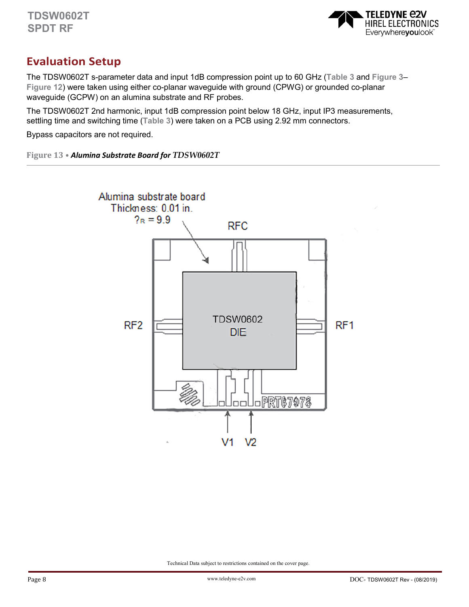

# **Evaluation Setup**

The TDSW0602T s-parameter data and input 1dB compression point up to 60 GHz (**Table 3** and **Figure 3**– **Figure 12**) were taken using either co-planar waveguide with ground (CPWG) or grounded co-planar waveguide (GCPW) on an alumina substrate and RF probes.

The TDSW0602T 2nd harmonic, input 1dB compression point below 18 GHz, input IP3 measurements, settling time and switching time (**Table 3**) were taken on a PCB using 2.92 mm connectors.

Bypass capacitors are not required.

**Figure 13 •** *Alumina Substrate Board for TDSW0602T* 

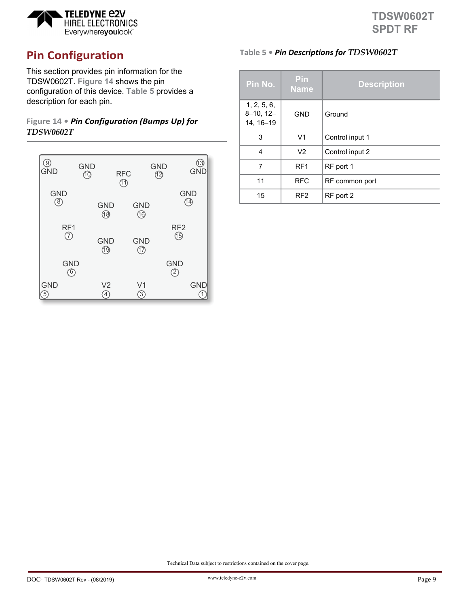

# **Pin Configuration**

This section provides pin information for the TDSW0602T. **Figure 14** shows the pin configuration of this device. **Table 5** provides a description for each pin.

# **Figure 14 •** *Pin Configuration (Bumps Up) for TDSW0602T*

| $\left[9\right]$          | <b>GND</b>          | <b>RFC</b>                    | <b>GND</b>                   | (13)       |
|---------------------------|---------------------|-------------------------------|------------------------------|------------|
| GND                       | ര                   | $\textcircled{1}$             | 12                           | <b>GND</b> |
| <b>GND</b>                | <b>GND</b>          | <b>GND</b>                    | <b>GND</b>                   |            |
| (8)                       | ®                   | ⑯                             | 14                           |            |
| RF1                       | <b>GND</b>          | <b>GND</b>                    | RF <sub>2</sub>              |            |
| $\circled7$               | 19                  | നു<br>17                      | 仍                            |            |
| <b>GND</b><br>$\circled6$ |                     |                               | <b>GND</b><br>$\overline{2}$ |            |
| <b>GND</b>                | V <sub>2</sub><br>4 | V <sub>1</sub><br>$\boxed{3}$ |                              | <b>GND</b> |

# **Table 5 •** *Pin Descriptions for TDSW0602T*

| Pin No.                                    | <b>Pin</b><br><b>Name</b> | <b>Description</b> |
|--------------------------------------------|---------------------------|--------------------|
| 1, 2, 5, 6,<br>$8 - 10, 12 -$<br>14, 16-19 | <b>GND</b>                | Ground             |
| 3                                          | V <sub>1</sub>            | Control input 1    |
| 4                                          | V <sub>2</sub>            | Control input 2    |
| 7                                          | RF <sub>1</sub>           | RF port 1          |
| 11                                         | <b>RFC</b>                | RF common port     |
| 15                                         | RF <sub>2</sub>           | RF port 2          |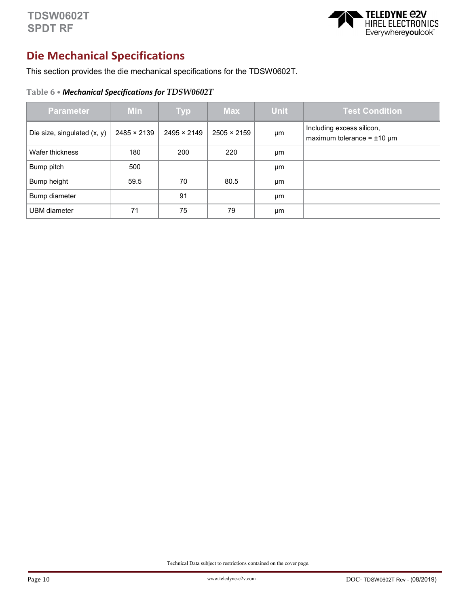

# **Die Mechanical Specifications**

This section provides the die mechanical specifications for the TDSW0602T.

## **Table 6 •** *Mechanical Specifications for TDSW0602T*

| <b>Parameter</b>              | <b>Min</b>         | <b>Typ</b>         | <b>Max</b>         | <b>Unit</b> | <b>Test Condition</b>                                           |
|-------------------------------|--------------------|--------------------|--------------------|-------------|-----------------------------------------------------------------|
| Die size, singulated $(x, y)$ | $2485 \times 2139$ | $2495 \times 2149$ | $2505 \times 2159$ | μm          | Including excess silicon,<br>maximum tolerance = $\pm 10 \mu m$ |
| Wafer thickness               | 180                | 200                | 220                | μm          |                                                                 |
| Bump pitch                    | 500                |                    |                    | μm          |                                                                 |
| Bump height                   | 59.5               | 70                 | 80.5               | μm          |                                                                 |
| Bump diameter                 |                    | 91                 |                    | μm          |                                                                 |
| <b>UBM</b> diameter           | 71                 | 75                 | 79                 | μm          |                                                                 |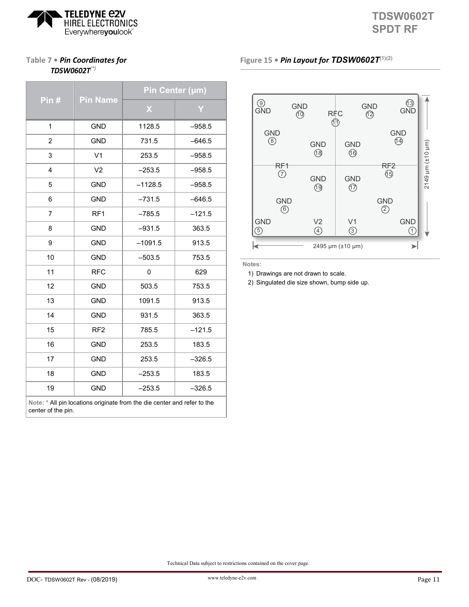

# **Table 7 •** *Pin Coordinates for TDSW0602T(\*)*

|                                                                                                | <b>Pin Name</b> | Pin Center (µm) |          |  |
|------------------------------------------------------------------------------------------------|-----------------|-----------------|----------|--|
| Pin $#$                                                                                        |                 | X               | Y        |  |
| 1                                                                                              | <b>GND</b>      | 1128.5          | $-958.5$ |  |
| $\overline{2}$                                                                                 | <b>GND</b>      | 731.5           | $-646.5$ |  |
| 3                                                                                              | V <sub>1</sub>  | 253.5           | $-958.5$ |  |
| 4                                                                                              | V <sub>2</sub>  | $-253.5$        | $-958.5$ |  |
| 5                                                                                              | <b>GND</b>      | $-1128.5$       | $-958.5$ |  |
| 6                                                                                              | <b>GND</b>      | $-731.5$        | $-646.5$ |  |
| $\overline{7}$                                                                                 | RF <sub>1</sub> | $-785.5$        | $-121.5$ |  |
| 8                                                                                              | <b>GND</b>      | $-931.5$        | 363.5    |  |
| 9                                                                                              | <b>GND</b>      | $-1091.5$       | 913.5    |  |
| 10                                                                                             | <b>GND</b>      | $-503.5$        | 753.5    |  |
| 11                                                                                             | <b>RFC</b>      | 0               | 629      |  |
| 12                                                                                             | <b>GND</b>      | 503.5           | 753.5    |  |
| 13                                                                                             | <b>GND</b>      | 1091.5          | 913.5    |  |
| 14                                                                                             | <b>GND</b>      | 931.5           | 363.5    |  |
| 15                                                                                             | RF <sub>2</sub> | 785.5           | $-121.5$ |  |
| 16                                                                                             | <b>GND</b>      | 253.5           | 183.5    |  |
| 17                                                                                             | <b>GND</b>      | 253.5           | $-326.5$ |  |
| 18                                                                                             | <b>GND</b>      | $-253.5$        | 183.5    |  |
| 19                                                                                             | <b>GND</b>      | $-253.5$        | $-326.5$ |  |
| Note: * All pin locations originate from the die center and refer to the<br>center of the pin. |                 |                 |          |  |

## **Figure 15 •** *Pin Layout for TDSW0602T***(1)(2)**



**Notes:**

1) Drawings are not drawn to scale.

2) Singulated die size shown, bump side up.